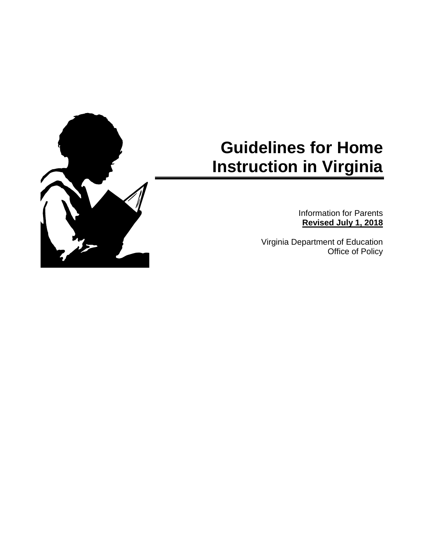

# **Guidelines for Home Instruction in Virginia**

Information for Parents **Revised July 1, 2018**

Virginia Department of Education Office of Policy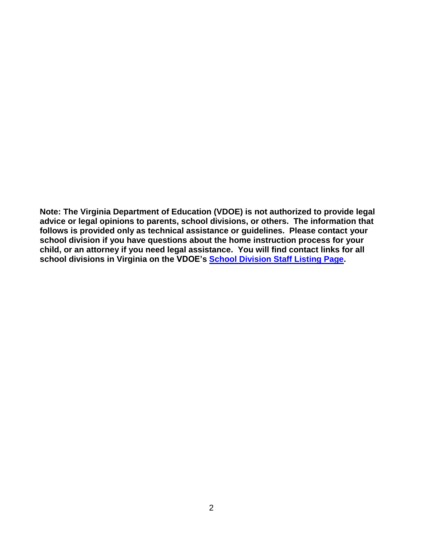**Note: The Virginia Department of Education (VDOE) is not authorized to provide legal advice or legal opinions to parents, school divisions, or others. The information that follows is provided only as technical assistance or guidelines. Please contact your school division if you have questions about the home instruction process for your child, or an attorney if you need legal assistance. You will find contact links for all school divisions in Virginia on the VDOE's [School Division Staff Listing Page.](http://www.doe.virginia.gov/directories/school_divisions/division_info_by_divisions.shtml)**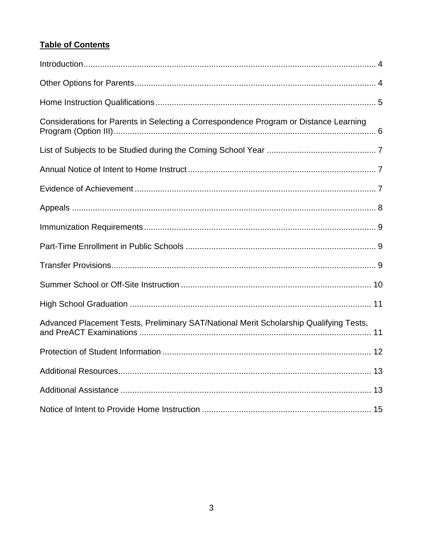# **Table of Contents**

| Considerations for Parents in Selecting a Correspondence Program or Distance Learning  |
|----------------------------------------------------------------------------------------|
|                                                                                        |
|                                                                                        |
|                                                                                        |
|                                                                                        |
|                                                                                        |
|                                                                                        |
|                                                                                        |
|                                                                                        |
|                                                                                        |
| Advanced Placement Tests, Preliminary SAT/National Merit Scholarship Qualifying Tests, |
|                                                                                        |
|                                                                                        |
|                                                                                        |
|                                                                                        |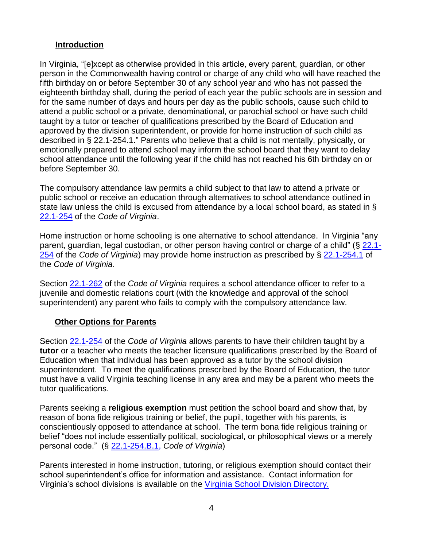# <span id="page-3-0"></span>**Introduction**

In Virginia, "[e]xcept as otherwise provided in this article, every parent, guardian, or other person in the Commonwealth having control or charge of any child who will have reached the fifth birthday on or before September 30 of any school year and who has not passed the eighteenth birthday shall, during the period of each year the public schools are in session and for the same number of days and hours per day as the public schools, cause such child to attend a public school or a private, denominational, or parochial school or have such child taught by a tutor or teacher of qualifications prescribed by the Board of Education and approved by the division superintendent, or provide for home instruction of such child as described in § [22.1-254.1.](https://law.lis.virginia.gov/vacode/22.1-254.1/)" Parents who believe that a child is not mentally, physically, or emotionally prepared to attend school may inform the school board that they want to delay school attendance until the following year if the child has not reached his 6th birthday on or before September 30.

The compulsory attendance law permits a child subject to that law to attend a private or public school or receive an education through alternatives to school attendance outlined in state law unless the child is excused from attendance by a local school board, as stated in § [22.1-254](https://law.lis.virginia.gov/vacode/title22.1/chapter14/section22.1-254/) of the *Code of Virginia*.

Home instruction or home schooling is one alternative to school attendance. In Virginia "any parent, guardian, legal custodian, or other person having control or charge of a child" (§ [22.1-](https://law.lis.virginia.gov/vacode/title22.1/chapter14/section22.1-254/) [254](https://law.lis.virginia.gov/vacode/title22.1/chapter14/section22.1-254/) of the *Code of Virginia*) may provide home instruction as prescribed by § [22.1-254.1](https://law.lis.virginia.gov/vacode/22.1-254.1/) of the *Code of Virginia*.

Section [22.1-262](https://law.lis.virginia.gov/vacode/22.1-262/) of the *Code of Virginia* requires a school attendance officer to refer to a juvenile and domestic relations court (with the knowledge and approval of the school superintendent) any parent who fails to comply with the compulsory attendance law.

# <span id="page-3-1"></span>**Other Options for Parents**

Section [22.1-254](https://law.lis.virginia.gov/vacode/title22.1/chapter14/section22.1-254/) of the *Code of Virginia* allows parents to have their children taught by a **tutor** or a teacher who meets the teacher licensure qualifications prescribed by the Board of Education when that individual has been approved as a tutor by the school division superintendent. To meet the qualifications prescribed by the Board of Education, the tutor must have a valid Virginia teaching license in any area and may be a parent who meets the tutor qualifications.

Parents seeking a **religious exemption** must petition the school board and show that, by reason of bona fide religious training or belief, the pupil, together with his parents, is conscientiously opposed to attendance at school. The term bona fide religious training or belief "does not include essentially political, sociological, or philosophical views or a merely personal code." (§ [22.1-254.B.1,](https://law.lis.virginia.gov/vacode/title22.1/chapter14/section22.1-254/) *Code of Virginia*)

Parents interested in home instruction, tutoring, or religious exemption should contact their school superintendent's office for information and assistance. Contact information for Virginia's school divisions is available on the [Virginia School Division D](http://www.doe.virginia.gov/directories/school_divisions/division_info_by_divisions.shtml)irectory.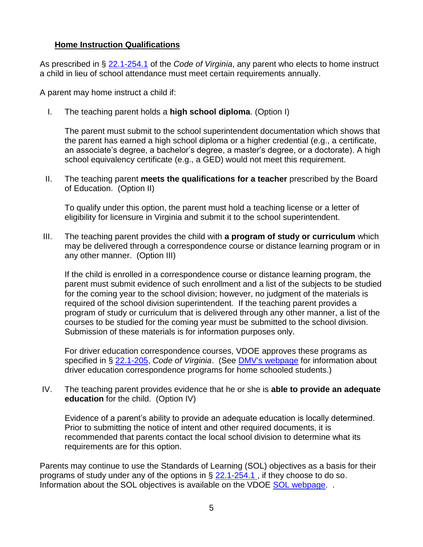#### <span id="page-4-0"></span>**Home Instruction Qualifications**

As prescribed in § [22.1-254.1](https://law.lis.virginia.gov/vacode/22.1-254.1/) of the *Code of Virginia*, any parent who elects to home instruct a child in lieu of school attendance must meet certain requirements annually.

A parent may home instruct a child if:

I. The teaching parent holds a **high school diploma**. (Option I)

The parent must submit to the school superintendent documentation which shows that the parent has earned a high school diploma or a higher credential (e.g., a certificate, an associate's degree, a bachelor's degree, a master's degree, or a doctorate). A high school equivalency certificate (e.g., a GED) would not meet this requirement.

II. The teaching parent **meets the qualifications for a teacher** prescribed by the Board of Education. (Option II)

To qualify under this option, the parent must hold a teaching license or a letter of eligibility for licensure in Virginia and submit it to the school superintendent.

III. The teaching parent provides the child with **a program of study or curriculum** which may be delivered through a correspondence course or distance learning program or in any other manner. (Option III)

If the child is enrolled in a correspondence course or distance learning program, the parent must submit evidence of such enrollment and a list of the subjects to be studied for the coming year to the school division; however, no judgment of the materials is required of the school division superintendent. If the teaching parent provides a program of study or curriculum that is delivered through any other manner, a list of the courses to be studied for the coming year must be submitted to the school division. Submission of these materials is for information purposes only.

For driver education correspondence courses, VDOE approves these programs as specified in § [22.1-205,](https://law.lis.virginia.gov/vacode/22.1-205/) *Code of Virginia*. (See [DMV's webpage](http://www.dmv.virginia.gov/webdoc/citizen/drivers/homeschoolers.asp) for information about driver education correspondence programs for home schooled students.)

IV. The teaching parent provides evidence that he or she is **able to provide an adequate education** for the child. (Option IV)

Evidence of a parent's ability to provide an adequate education is locally determined. Prior to submitting the notice of intent and other required documents, it is recommended that parents contact the local school division to determine what its requirements are for this option.

Parents may continue to use the Standards of Learning (SOL) objectives as a basis for their programs of study under any of the options in  $\S$  [22.1-254.1](https://law.lis.virginia.gov/vacode/22.1-254.1/), if they choose to do so. Information about the SOL objectives is available on the VDOE [SOL webpage.](http://www.doe.virginia.gov/testing/sol/standards_docs/index.shtml)..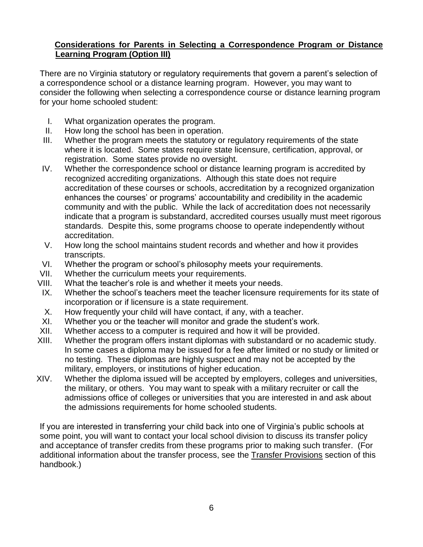#### <span id="page-5-0"></span>**Considerations for Parents in Selecting a Correspondence Program or Distance Learning Program (Option III)**

There are no Virginia statutory or regulatory requirements that govern a parent's selection of a correspondence school or a distance learning program. However, you may want to consider the following when selecting a correspondence course or distance learning program for your home schooled student:

- I. What organization operates the program.
- II. How long the school has been in operation.
- III. Whether the program meets the statutory or regulatory requirements of the state where it is located. Some states require state licensure, certification, approval, or registration. Some states provide no oversight.
- IV. Whether the correspondence school or distance learning program is accredited by recognized accrediting organizations. Although this state does not require accreditation of these courses or schools, accreditation by a recognized organization enhances the courses' or programs' accountability and credibility in the academic community and with the public. While the lack of accreditation does not necessarily indicate that a program is substandard, accredited courses usually must meet rigorous standards. Despite this, some programs choose to operate independently without accreditation.
- V. How long the school maintains student records and whether and how it provides transcripts.
- VI. Whether the program or school's philosophy meets your requirements.
- VII. Whether the curriculum meets your requirements.
- VIII. What the teacher's role is and whether it meets your needs.
- IX. Whether the school's teachers meet the teacher licensure requirements for its state of incorporation or if licensure is a state requirement.
- X. How frequently your child will have contact, if any, with a teacher.
- XI. Whether you or the teacher will monitor and grade the student's work.
- XII. Whether access to a computer is required and how it will be provided.
- XIII. Whether the program offers instant diplomas with substandard or no academic study. In some cases a diploma may be issued for a fee after limited or no study or limited or no testing. These diplomas are highly suspect and may not be accepted by the military, employers, or institutions of higher education.
- XIV. Whether the diploma issued will be accepted by employers, colleges and universities, the military, or others. You may want to speak with a military recruiter or call the admissions office of colleges or universities that you are interested in and ask about the admissions requirements for home schooled students.

If you are interested in transferring your child back into one of Virginia's public schools at some point, you will want to contact your local school division to discuss its transfer policy and acceptance of transfer credits from these programs prior to making such transfer. (For additional information about the transfer process, see the Transfer Provisions section of this handbook.)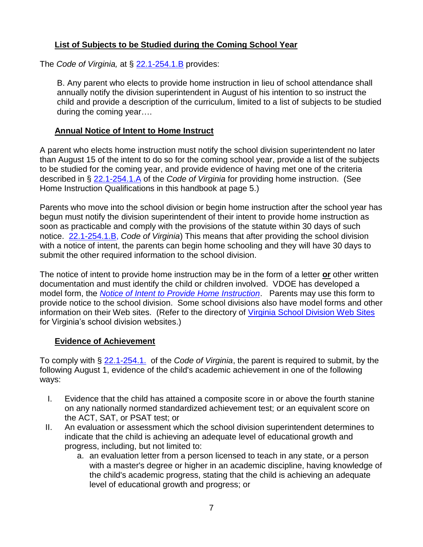# <span id="page-6-0"></span>**List of Subjects to be Studied during the Coming School Year**

The *Code of Virginia,* at § [22.1-254.1.B](https://law.lis.virginia.gov/vacode/22.1-254.1/) provides:

B. Any parent who elects to provide home instruction in lieu of school attendance shall annually notify the division superintendent in August of his intention to so instruct the child and provide a description of the curriculum, limited to a list of subjects to be studied during the coming year….

# <span id="page-6-1"></span>**Annual Notice of Intent to Home Instruct**

A parent who elects home instruction must notify the school division superintendent no later than August 15 of the intent to do so for the coming school year, provide a list of the subjects to be studied for the coming year, and provide evidence of having met one of the criteria described in § [22.1-254.1.A](https://law.lis.virginia.gov/vacode/22.1-254.1/) of the *Code of Virginia* for providing home instruction. (See Home Instruction Qualifications in this handbook at page 5.)

Parents who move into the school division or begin home instruction after the school year has begun must notify the division superintendent of their intent to provide home instruction as soon as practicable and comply with the provisions of the statute within 30 days of such notice. [22.1-254.1.B,](https://law.lis.virginia.gov/vacode/22.1-254.1/) *Code of Virginia*) This means that after providing the school division with a notice of intent, the parents can begin home schooling and they will have 30 days to submit the other required information to the school division.

The notice of intent to provide home instruction may be in the form of a letter **or** other written documentation and must identify the child or children involved. VDOE has developed a model form, the *[Notice of Intent to Provide Home Instruction](http://www.doe.virginia.gov/families/private_home/home_instruction/sample_notice_intent.pdf)*. Parents may use this form to provide notice to the school division. Some school divisions also have model forms and other information on their Web sites. (Refer to the directory of [Virginia School Division Web](http://www.doe.virginia.gov/directories/school_divisions/division_info_by_divisions.shtml) Sites for Virginia's school division websites.)

# <span id="page-6-2"></span>**Evidence of Achievement**

To comply with § [22.1-254.1.](https://law.lis.virginia.gov/vacode/22.1-254.1/) of the *Code of Virginia*, the parent is required to submit, by the following August 1, evidence of the child's academic achievement in one of the following ways:

- I. Evidence that the child has attained a composite score in or above the fourth stanine on any nationally normed standardized achievement test; or an equivalent score on the ACT, SAT, or PSAT test; or
- II. An evaluation or assessment which the school division superintendent determines to indicate that the child is achieving an adequate level of educational growth and progress, including, but not limited to:
	- a. an evaluation letter from a person licensed to teach in any state, or a person with a master's degree or higher in an academic discipline, having knowledge of the child's academic progress, stating that the child is achieving an adequate level of educational growth and progress; or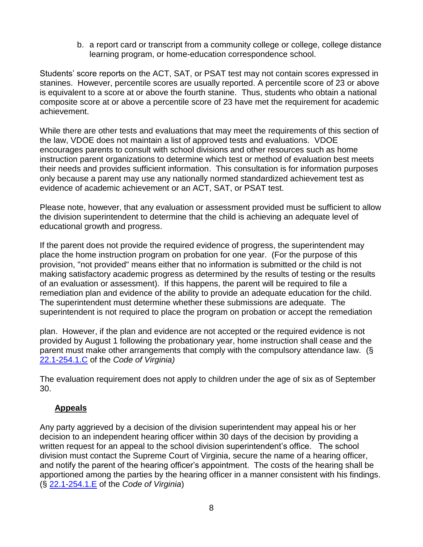b. a report card or transcript from a community college or college, college distance learning program, or home-education correspondence school.

Students' score reports on the ACT, SAT, or PSAT test may not contain scores expressed in stanines. However, percentile scores are usually reported. A percentile score of 23 or above is equivalent to a score at or above the fourth stanine. Thus, students who obtain a national composite score at or above a percentile score of 23 have met the requirement for academic achievement.

While there are other tests and evaluations that may meet the requirements of this section of the law, VDOE does not maintain a list of approved tests and evaluations. VDOE encourages parents to consult with school divisions and other resources such as home instruction parent organizations to determine which test or method of evaluation best meets their needs and provides sufficient information. This consultation is for information purposes only because a parent may use any nationally normed standardized achievement test as evidence of academic achievement or an ACT, SAT, or PSAT test.

Please note, however, that any evaluation or assessment provided must be sufficient to allow the division superintendent to determine that the child is achieving an adequate level of educational growth and progress.

If the parent does not provide the required evidence of progress, the superintendent may place the home instruction program on probation for one year. (For the purpose of this provision, "not provided" means either that no information is submitted or the child is not making satisfactory academic progress as determined by the results of testing or the results of an evaluation or assessment). If this happens, the parent will be required to file a remediation plan and evidence of the ability to provide an adequate education for the child. The superintendent must determine whether these submissions are adequate. The superintendent is not required to place the program on probation or accept the remediation

plan. However, if the plan and evidence are not accepted or the required evidence is not provided by August 1 following the probationary year, home instruction shall cease and the parent must make other arrangements that comply with the compulsory attendance law. (§ [22.1-254.1.C](https://law.lis.virginia.gov/vacode/22.1-254.1/) of the *Code of Virginia)*

The evaluation requirement does not apply to children under the age of six as of September 30.

# <span id="page-7-0"></span>**Appeals**

Any party aggrieved by a decision of the division superintendent may appeal his or her decision to an independent hearing officer within 30 days of the decision by providing a written request for an appeal to the school division superintendent's office. The school division must contact the Supreme Court of Virginia, secure the name of a hearing officer, and notify the parent of the hearing officer's appointment. The costs of the hearing shall be apportioned among the parties by the hearing officer in a manner consistent with his findings. (§ [22.1-254.1.E](https://law.lis.virginia.gov/vacode/22.1-254.1/) of the *Code of Virginia*)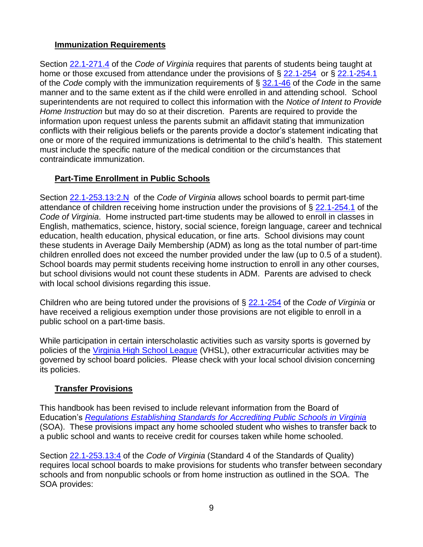#### <span id="page-8-0"></span>**Immunization Requirements**

Section [22.1-271.4](https://law.lis.virginia.gov/vacode/22.1-271.4/) of the *Code of Virginia* requires that parents of students being taught at home or those excused from attendance under the provisions of § [22.1-254](https://law.lis.virginia.gov/vacode/22.1-254/) or § [22.1-254.1](https://law.lis.virginia.gov/vacode/22.1-254.1/) of the *Code* comply with the immunization requirements of § [32.1-46](https://law.lis.virginia.gov/vacode/32.1-46/) of the *Code* in the same manner and to the same extent as if the child were enrolled in and attending school. School superintendents are not required to collect this information with the *Notice of Intent to Provide Home Instruction* but may do so at their discretion. Parents are required to provide the information upon request unless the parents submit an affidavit stating that immunization conflicts with their religious beliefs or the parents provide a doctor's statement indicating that one or more of the required immunizations is detrimental to the child's health. This statement must include the specific nature of the medical condition or the circumstances that contraindicate immunization.

# <span id="page-8-1"></span>**Part-Time Enrollment in Public Schools**

Section [22.1-253.13:2.N](https://law.lis.virginia.gov/vacode/22.1-253.13:2/) of the *Code of Virginia* allows school boards to permit part-time attendance of children receiving home instruction under the provisions of § [22.1-254.1](https://law.lis.virginia.gov/vacode/22.1-254.1/) of the *Code of Virginia*. Home instructed part-time students may be allowed to enroll in classes in English, mathematics, science, history, social science, foreign language, career and technical education, health education, physical education, or fine arts. School divisions may count these students in Average Daily Membership (ADM) as long as the total number of part-time children enrolled does not exceed the number provided under the law (up to 0.5 of a student). School boards may permit students receiving home instruction to enroll in any other courses, but school divisions would not count these students in ADM. Parents are advised to check with local school divisions regarding this issue.

Children who are being tutored under the provisions of § [22.1-254](https://law.lis.virginia.gov/vacode/22.1-254/) of the *Code of Virginia* or have received a religious exemption under those provisions are not eligible to enroll in a public school on a part-time basis.

While participation in certain interscholastic activities such as varsity sports is governed by policies of the [Virginia High School League](http://www.vhsl.org/) (VHSL), other extracurricular activities may be governed by school board policies. Please check with your local school division concerning its policies.

# <span id="page-8-2"></span>**Transfer Provisions**

This handbook has been revised to include relevant information from the Board of Education's *[Regulations Establishing Standards for Accrediting Public Schools in Virginia](http://www.doe.virginia.gov/boe/accreditation/index.shtml)* (SOA). These provisions impact any home schooled student who wishes to transfer back to a public school and wants to receive credit for courses taken while home schooled.

Section [22.1-253.13:4](https://law.lis.virginia.gov/vacode/22.1-253.13:4/) of the *Code of Virginia* (Standard 4 of the Standards of Quality) requires local school boards to make provisions for students who transfer between secondary schools and from nonpublic schools or from home instruction as outlined in the SOA. The SOA provides: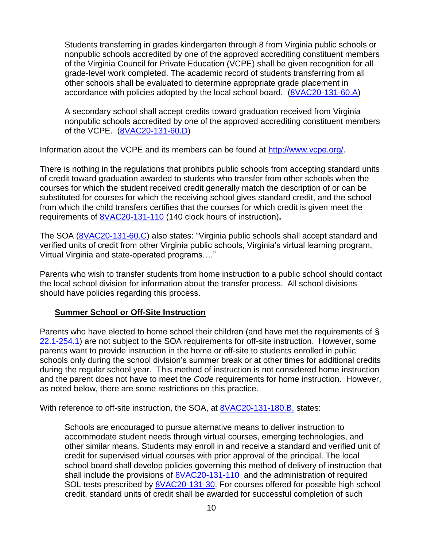Students transferring in grades kindergarten through 8 from Virginia public schools or nonpublic schools accredited by one of the approved accrediting constituent members of the Virginia Council for Private Education (VCPE) shall be given recognition for all grade-level work completed. The academic record of students transferring from all other schools shall be evaluated to determine appropriate grade placement in accordance with policies adopted by the local school board. [\(8VAC20-131-60.A\)](https://law.lis.virginia.gov/admincode/title8/agency20/chapter131/section60/)

A secondary school shall accept credits toward graduation received from Virginia nonpublic schools accredited by one of the approved accrediting constituent members of the VCPE. [\(8VAC20-131-60.D\)](https://law.lis.virginia.gov/admincode/title8/agency20/chapter131/section60/)

Information about the VCPE and its members can be found at [http://www.vcpe.org/.](http://www.vcpe.org/)

There is nothing in the regulations that prohibits public schools from accepting standard units of credit toward graduation awarded to students who transfer from other schools when the courses for which the student received credit generally match the description of or can be substituted for courses for which the receiving school gives standard credit, and the school from which the child transfers certifies that the courses for which credit is given meet the requirements of [8VAC20-131-110](https://law.lis.virginia.gov/admincode/title8/agency20/chapter131/section110) (140 clock hours of instruction)**.** 

The SOA [\(8VAC20-131-60.C\)](https://law.lis.virginia.gov/admincode/title8/agency20/chapter131/section60) also states: "Virginia public schools shall accept standard and verified units of credit from other Virginia public schools, Virginia's virtual learning program, Virtual Virginia and state-operated programs…."

Parents who wish to transfer students from home instruction to a public school should contact the local school division for information about the transfer process. All school divisions should have policies regarding this process.

# <span id="page-9-0"></span>**Summer School or Off-Site Instruction**

Parents who have elected to home school their children (and have met the requirements of § [22.1-254.1\)](https://law.lis.virginia.gov/vacode/22.1-254.1/) are not subject to the SOA requirements for off-site instruction. However, some parents want to provide instruction in the home or off-site to students enrolled in public schools only during the school division's summer break or at other times for additional credits during the regular school year. This method of instruction is not considered home instruction and the parent does not have to meet the *Code* requirements for home instruction. However, as noted below, there are some restrictions on this practice.

With reference to off-site instruction, the SOA, at [8VAC20-131-180.B,](https://law.lis.virginia.gov/admincode/title8/agency20/chapter131/section180) states:

Schools are encouraged to pursue alternative means to deliver instruction to accommodate student needs through virtual courses, emerging technologies, and other similar means. Students may enroll in and receive a standard and verified unit of credit for supervised virtual courses with prior approval of the principal. The local school board shall develop policies governing this method of delivery of instruction that shall include the provisions of [8VAC20-131-110](https://law.lis.virginia.gov/admincode/title8/agency20/chapter131/section110) and the administration of required SOL tests prescribed by [8VAC20-131-30.](https://law.lis.virginia.gov/admincode/title8/agency20/chapter131/section30) For courses offered for possible high school credit, standard units of credit shall be awarded for successful completion of such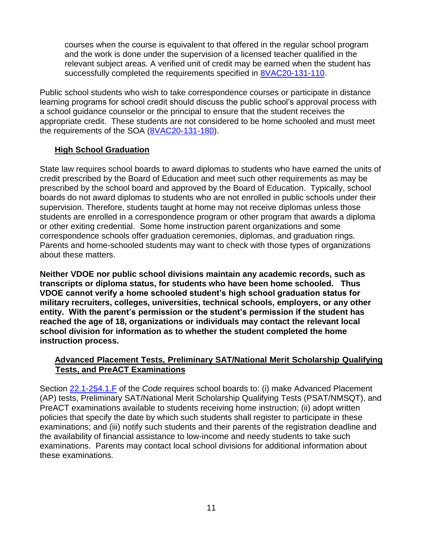courses when the course is equivalent to that offered in the regular school program and the work is done under the supervision of a licensed teacher qualified in the relevant subject areas. A verified unit of credit may be earned when the student has successfully completed the requirements specified in [8VAC20-131-110.](file://///WCS02021/speterso$/2018/Home%20Instruction/8vac20-131-110https:/law.lis.virginia.gov/admincode/title8/agency20/chapter131/section110)

Public school students who wish to take correspondence courses or participate in distance learning programs for school credit should discuss the public school's approval process with a school guidance counselor or the principal to ensure that the student receives the appropriate credit. These students are not considered to be home schooled and must meet the requirements of the SOA [\(8VAC20-131-180\)](https://law.lis.virginia.gov/admincode/title8/agency20/chapter131/section180).

#### <span id="page-10-0"></span>**High School Graduation**

State law requires school boards to award diplomas to students who have earned the units of credit prescribed by the Board of Education and meet such other requirements as may be prescribed by the school board and approved by the Board of Education. Typically, school boards do not award diplomas to students who are not enrolled in public schools under their supervision. Therefore, students taught at home may not receive diplomas unless those students are enrolled in a correspondence program or other program that awards a diploma or other exiting credential. Some home instruction parent organizations and some correspondence schools offer graduation ceremonies, diplomas, and graduation rings. Parents and home-schooled students may want to check with those types of organizations about these matters.

**Neither VDOE nor public school divisions maintain any academic records, such as transcripts or diploma status, for students who have been home schooled. Thus VDOE cannot verify a home schooled student's high school graduation status for military recruiters, colleges, universities, technical schools, employers, or any other entity. With the parent's permission or the student's permission if the student has reached the age of 18, organizations or individuals may contact the relevant local school division for information as to whether the student completed the home instruction process.** 

#### <span id="page-10-1"></span>**Advanced Placement Tests, Preliminary SAT/National Merit Scholarship Qualifying Tests, and PreACT Examinations**

Section [22.1-254.1.F](https://law.lis.virginia.gov/vacode/22.1-254.1) of the *Code* requires school boards to: (i) make Advanced Placement (AP) tests, Preliminary SAT/National Merit Scholarship Qualifying Tests (PSAT/NMSQT), and PreACT examinations available to students receiving home instruction; (ii) adopt written policies that specify the date by which such students shall register to participate in these examinations; and (iii) notify such students and their parents of the registration deadline and the availability of financial assistance to low-income and needy students to take such examinations. Parents may contact local school divisions for additional information about these examinations.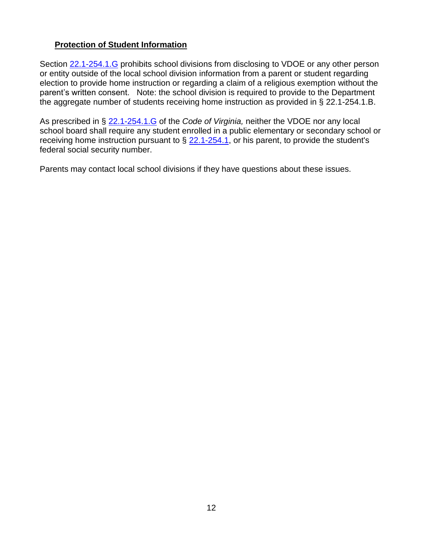# <span id="page-11-0"></span>**Protection of Student Information**

Section [22.1-254.1.G](http://law.lis.virginia.gov/vacode/22.1-254.1/) prohibits school divisions from disclosing to VDOE or any other person or entity outside of the local school division information from a parent or student regarding election to provide home instruction or regarding a claim of a religious exemption without the parent's written consent. Note: the school division is required to provide to the Department the aggregate number of students receiving home instruction as provided in § 22.1-254.1.B.

As prescribed in § [22.1-254.1.G](https://law.lis.virginia.gov/vacode/22.1-254.1/) of the *Code of Virginia,* neither the VDOE nor any local school board shall require any student enrolled in a public elementary or secondary school or receiving home instruction pursuant to  $\S$  [22.1-254.1,](https://law.lis.virginia.gov/vacode/22.1-254.1/) or his parent, to provide the student's federal social security number.

Parents may contact local school divisions if they have questions about these issues.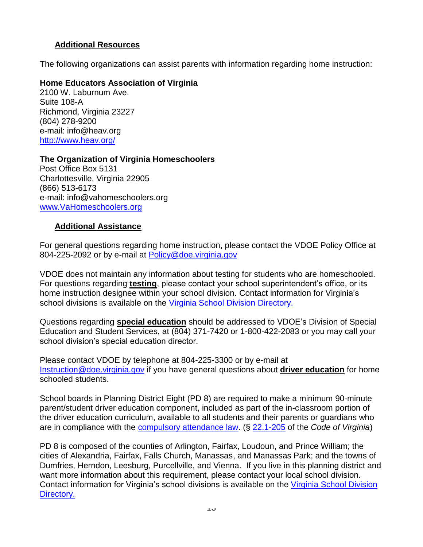# <span id="page-12-0"></span>**Additional Resources**

The following organizations can assist parents with information regarding home instruction:

#### **Home Educators Association of Virginia**

2100 W. Laburnum Ave. Suite 108-A Richmond, Virginia 23227 (804) 278-9200 e-mail: info@heav.org <http://www.heav.org/>

#### **The Organization of Virginia Homeschoolers**

Post Office Box 5131 Charlottesville, Virginia 22905 (866) 513-6173 e-mail: info@vahomeschoolers.org [www.VaHomeschoolers.org](http://www.vahomeschoolers.org/)

#### <span id="page-12-1"></span>**Additional Assistance**

For general questions regarding home instruction, please contact the VDOE Policy Office at 804-225-2092 or by e-mail at [Policy@doe.virginia.gov](mailto:Policy@doe.virginia.gov)

VDOE does not maintain any information about testing for students who are homeschooled. For questions regarding **testing**, please contact your school superintendent's office, or its home instruction designee within your school division. Contact information for Virginia's school divisions is available on the [Virginia School Division D](http://www.doe.virginia.gov/directories/school_divisions/division_info_by_divisions.shtml)irectory.

Questions regarding **special education** should be addressed to VDOE's Division of Special Education and Student Services, at (804) 371-7420 or 1-800-422-2083 or you may call your school division's special education director.

Please contact VDOE by telephone at 804-225-3300 or by e-mail at [Instruction@doe.virginia.gov](mailto:Instruction@doe.virginia.gov) if you have general questions about **driver education** for home schooled students.

School boards in Planning District Eight (PD 8) are required to make a minimum 90-minute parent/student driver education component, included as part of the in-classroom portion of the driver education curriculum, available to all students and their parents or guardians who are in compliance with the [compulsory attendance law.](https://law.lis.virginia.gov/vacode/22.1-254/) (§ [22.1-205](https://law.lis.virginia.gov/vacode/22.1-205/) of the *Code of Virginia*)

PD 8 is composed of the counties of Arlington, Fairfax, Loudoun, and Prince William; the cities of Alexandria, Fairfax, Falls Church, Manassas, and Manassas Park; and the towns of Dumfries, Herndon, Leesburg, Purcellville, and Vienna. If you live in this planning district and want more information about this requirement, please contact your local school division. Contact information for Virginia's school divisions is available on the [Virginia School Division](http://www.doe.virginia.gov/directories/school_divisions/division_info_by_divisions.shtml)  Directory.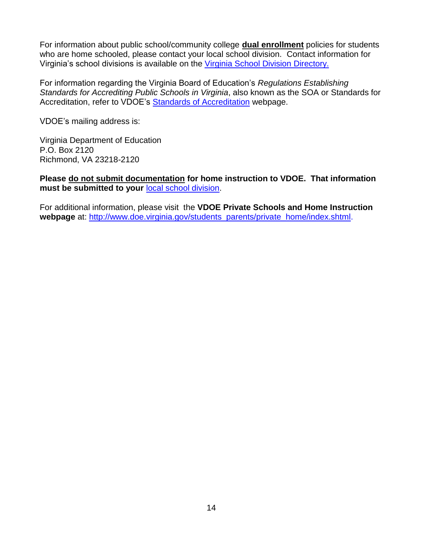For information about public school/community college **dual enrollment** policies for students who are home schooled, please contact your local school division. Contact information for Virginia's school divisions is available on the [Virginia School Division D](http://www.doe.virginia.gov/directories/school_divisions/division_info_by_divisions.shtml)irectory.

For information regarding the Virginia Board of Education's *Regulations Establishing Standards for Accrediting Public Schools in Virginia*, also known as the SOA or Standards for Accreditation, refer to VDOE's [Standards of Accreditation](http://www.doe.virginia.gov/boe/accreditation/index.shtml) webpage.

VDOE's mailing address is:

Virginia Department of Education P.O. Box 2120 Richmond, VA 23218-2120

**Please do not submit documentation for home instruction to VDOE. That information must be submitted to your** local [school division.](http://www.doe.virginia.gov/directories/school_divisions/division_info_by_divisions.shtml)

For additional information, please visit the **VDOE Private Schools and Home Instruction webpage** at: [http://www.doe.virginia.gov/students\\_parents/private\\_home/index.shtml.](http://www.doe.virginia.gov/students_parents/private_home/index.shtml)